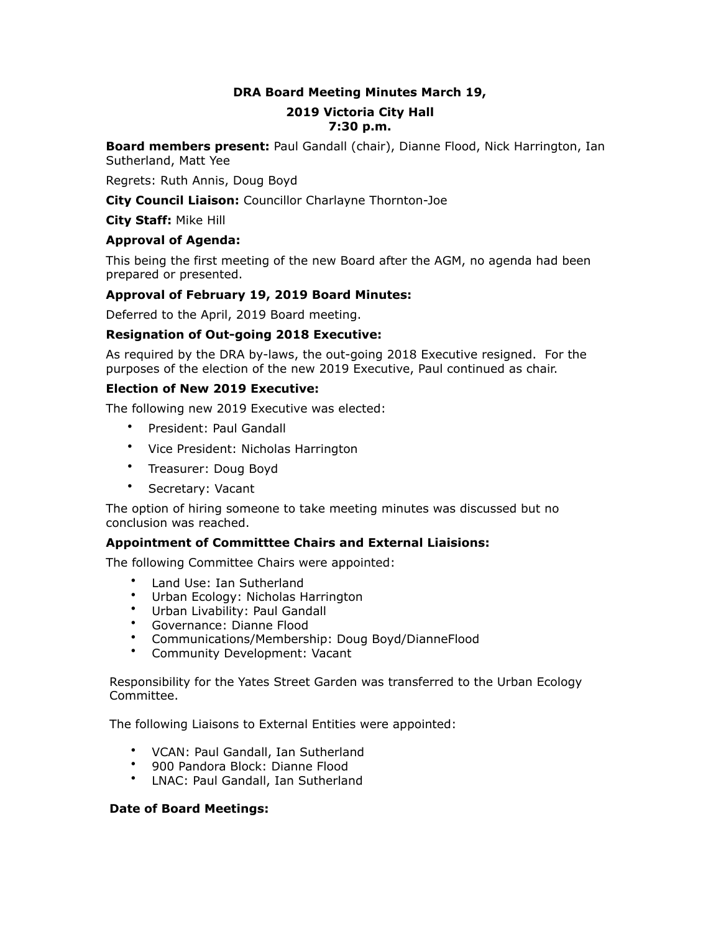## **DRA Board Meeting Minutes March 19,**

#### **2019 Victoria City Hall 7:30 p.m.**

**Board members present:** Paul Gandall (chair), Dianne Flood, Nick Harrington, Ian Sutherland, Matt Yee

Regrets: Ruth Annis, Doug Boyd

**City Council Liaison:** Councillor Charlayne Thornton-Joe

**City Staff:** Mike Hill

#### **Approval of Agenda:**

This being the first meeting of the new Board after the AGM, no agenda had been prepared or presented.

#### **Approval of February 19, 2019 Board Minutes:**

Deferred to the April, 2019 Board meeting.

#### **Resignation of Out-going 2018 Executive:**

As required by the DRA by-laws, the out-going 2018 Executive resigned. For the purposes of the election of the new 2019 Executive, Paul continued as chair.

#### **Election of New 2019 Executive:**

The following new 2019 Executive was elected:

- President: Paul Gandall
- Vice President: Nicholas Harrington
- Treasurer: Doug Boyd
- Secretary: Vacant

The option of hiring someone to take meeting minutes was discussed but no conclusion was reached.

#### **Appointment of Committtee Chairs and External Liaisions:**

The following Committee Chairs were appointed:

- Land Use: Ian Sutherland
- Urban Ecology: Nicholas Harrington
- Urban Livability: Paul Gandall
- Governance: Dianne Flood
- Communications/Membership: Doug Boyd/DianneFlood
- Community Development: Vacant

Responsibility for the Yates Street Garden was transferred to the Urban Ecology Committee.

The following Liaisons to External Entities were appointed:

- VCAN: Paul Gandall, Ian Sutherland
- 900 Pandora Block: Dianne Flood
- LNAC: Paul Gandall, Ian Sutherland

#### **Date of Board Meetings:**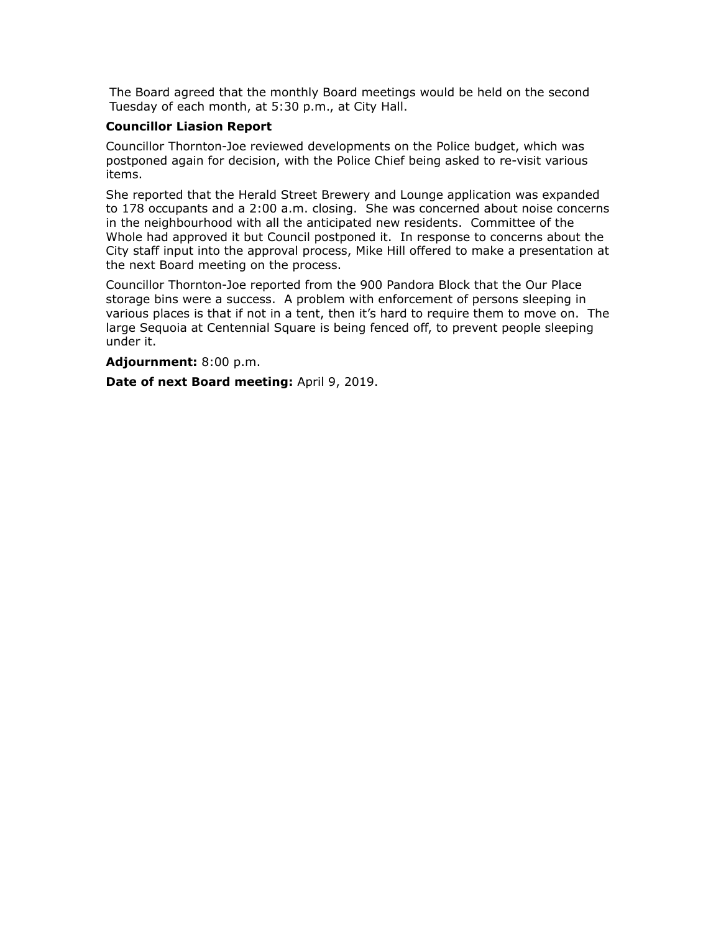The Board agreed that the monthly Board meetings would be held on the second Tuesday of each month, at 5:30 p.m., at City Hall.

#### **Councillor Liasion Report**

Councillor Thornton-Joe reviewed developments on the Police budget, which was postponed again for decision, with the Police Chief being asked to re-visit various items.

She reported that the Herald Street Brewery and Lounge application was expanded to 178 occupants and a 2:00 a.m. closing. She was concerned about noise concerns in the neighbourhood with all the anticipated new residents. Committee of the Whole had approved it but Council postponed it. In response to concerns about the City staff input into the approval process, Mike Hill offered to make a presentation at the next Board meeting on the process.

Councillor Thornton-Joe reported from the 900 Pandora Block that the Our Place storage bins were a success. A problem with enforcement of persons sleeping in various places is that if not in a tent, then it's hard to require them to move on. The large Sequoia at Centennial Square is being fenced off, to prevent people sleeping under it.

#### **Adjournment:** 8:00 p.m.

**Date of next Board meeting:** April 9, 2019.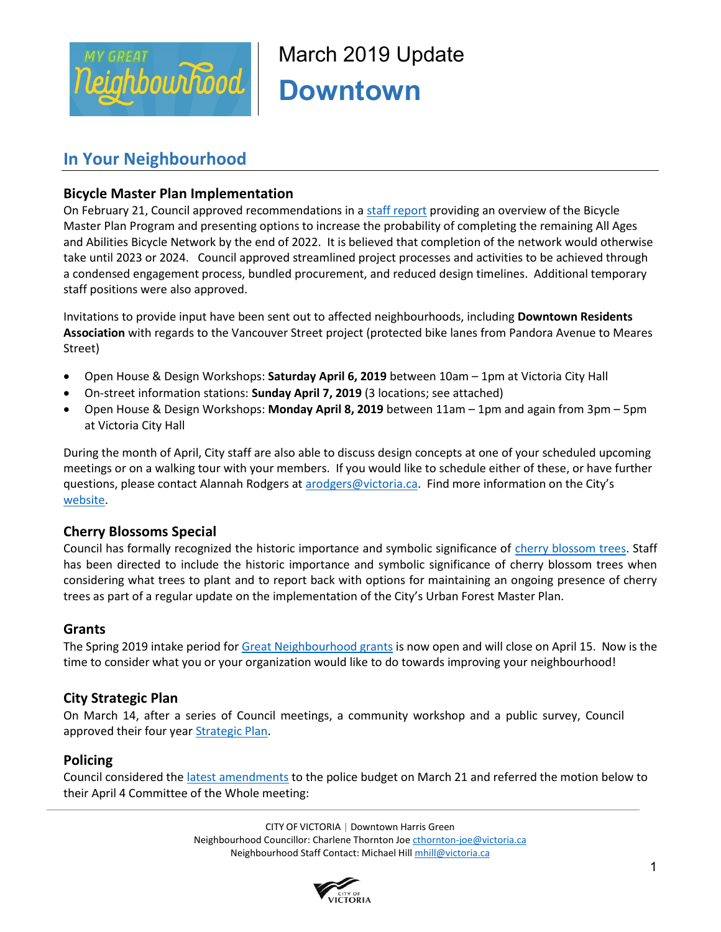

March 2019 Update **Downtown** 

## **In Your Neighbourhood**

## **Bicycle Master Plan Implementation**

On February 21, Council approved recommendations in a staff report providing an overview of the Bicycle Master Plan Program and presenting options to increase the probability of completing the remaining All Ages and Abilities Bicycle Network by the end of 2022. It is believed that completion of the network would otherwise take until 2023 or 2024. Council approved streamlined project processes and activities to be achieved through a condensed engagement process, bundled procurement, and reduced design timelines. Additional temporary staff positions were also approved.

Invitations to provide input have been sent out to affected neighbourhoods, including **Downtown Residents Association** with regards to the Vancouver Street project (protected bike lanes from Pandora Avenue to Meares Street)

- Open House & Design Workshops: **Saturday April 6, 2019** between 10am 1pm at Victoria City Hall
- On-street information stations: **Sunday April 7, 2019** (3 locations; see attached)
- Open House & Design Workshops: **Monday April 8, 2019** between 11am 1pm and again from 3pm 5pm at Victoria City Hall

During the month of April, City staff are also able to discuss design concepts at one of your scheduled upcoming meetings or on a walking tour with your members. If you would like to schedule either of these, or have further questions, please contact Alannah Rodgers at arodgers@victoria.ca. Find more information on the City's website.

## **Cherry Blossoms Special**

Council has formally recognized the historic importance and symbolic significance of cherry blossom trees. Staff has been directed to include the historic importance and symbolic significance of cherry blossom trees when considering what trees to plant and to report back with options for maintaining an ongoing presence of cherry trees as part of a regular update on the implementation of the City's Urban Forest Master Plan.

## **Grants**

The Spring 2019 intake period for Great Neighbourhood grants is now open and will close on April 15. Now is the time to consider what you or your organization would like to do towards improving your neighbourhood!

## **City Strategic Plan**

On March 14, after a series of Council meetings, a community workshop and a public survey, Council approved their four year **Strategic Plan**.

## **Policing**

Council considered the latest amendments to the police budget on March 21 and referred the motion below to their April 4 Committee of the Whole meeting:

> CITY OF VICTORIA | Downtown Harris Green Neighbourhood Councillor: Charlene Thornton Joe cthornton-joe@victoria.ca Neighbourhood Staff Contact: Michael Hill mhill@victoria.ca

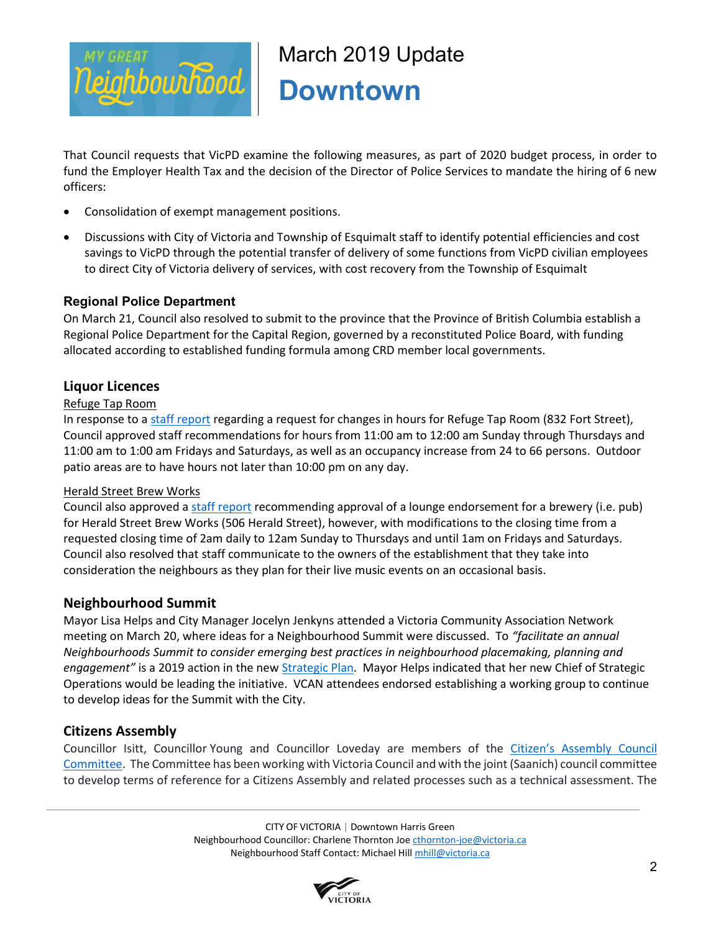

# March 2019 Update **Downtown**

That Council requests that VicPD examine the following measures, as part of 2020 budget process, in order to fund the Employer Health Tax and the decision of the Director of Police Services to mandate the hiring of 6 new officers:

- Consolidation of exempt management positions.
- Discussions with City of Victoria and Township of Esquimalt staff to identify potential efficiencies and cost savings to VicPD through the potential transfer of delivery of some functions from VicPD civilian employees to direct City of Victoria delivery of services, with cost recovery from the Township of Esquimalt

## **Regional Police Department**

On March 21, Council also resolved to submit to the province that the Province of British Columbia establish a Regional Police Department for the Capital Region, governed by a reconstituted Police Board, with funding allocated according to established funding formula among CRD member local governments.

## **Liquor Licences**

## Refuge Tap Room

In response to a staff report regarding a request for changes in hours for Refuge Tap Room (832 Fort Street), Council approved staff recommendations for hours from 11:00 am to 12:00 am Sunday through Thursdays and 11:00 am to 1:00 am Fridays and Saturdays, as well as an occupancy increase from 24 to 66 persons. Outdoor patio areas are to have hours not later than 10:00 pm on any day.

## Herald Street Brew Works

Council also approved a staff report recommending approval of a lounge endorsement for a brewery (i.e. pub) for Herald Street Brew Works (506 Herald Street), however, with modifications to the closing time from a requested closing time of 2am daily to 12am Sunday to Thursdays and until 1am on Fridays and Saturdays. Council also resolved that staff communicate to the owners of the establishment that they take into consideration the neighbours as they plan for their live music events on an occasional basis.

## **Neighbourhood Summit**

Mayor Lisa Helps and City Manager Jocelyn Jenkyns attended a Victoria Community Association Network meeting on March 20, where ideas for a Neighbourhood Summit were discussed. To *"facilitate an annual Neighbourhoods Summit to consider emerging best practices in neighbourhood placemaking, planning and engagement"* is a 2019 action in the new Strategic Plan. Mayor Helps indicated that her new Chief of Strategic Operations would be leading the initiative. VCAN attendees endorsed establishing a working group to continue to develop ideas for the Summit with the City.

## **Citizens Assembly**

Councillor Isitt, Councillor Young and Councillor Loveday are members of the Citizen's Assembly Council Committee. The Committee has been working with Victoria Council and with the joint (Saanich) council committee to develop terms of reference for a Citizens Assembly and related processes such as a technical assessment. The

> CITY OF VICTORIA | Downtown Harris Green Neighbourhood Councillor: Charlene Thornton Joe cthornton-joe@victoria.ca Neighbourhood Staff Contact: Michael Hill mhill@victoria.ca